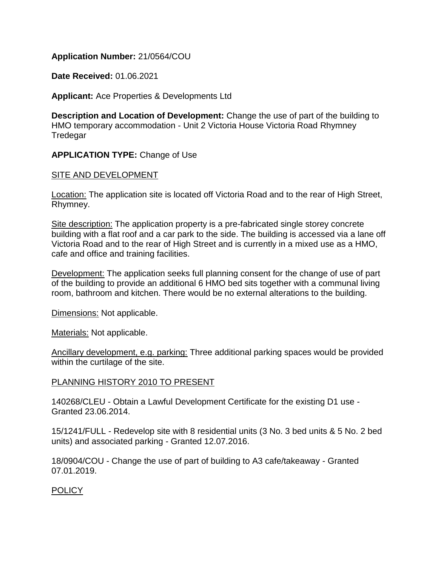## **Application Number:** 21/0564/COU

**Date Received:** 01.06.2021

**Applicant:** Ace Properties & Developments Ltd

**Description and Location of Development:** Change the use of part of the building to HMO temporary accommodation - Unit 2 Victoria House Victoria Road Rhymney Tredegar

# **APPLICATION TYPE:** Change of Use

## SITE AND DEVELOPMENT

**Location:** The application site is located off Victoria Road and to the rear of High Street, Rhymney.

Site description: The application property is a pre-fabricated single storey concrete building with a flat roof and a car park to the side. The building is accessed via a lane off Victoria Road and to the rear of High Street and is currently in a mixed use as a HMO, cafe and office and training facilities.

Development: The application seeks full planning consent for the change of use of part of the building to provide an additional 6 HMO bed sits together with a communal living room, bathroom and kitchen. There would be no external alterations to the building.

Dimensions: Not applicable.

Materials: Not applicable.

Ancillary development, e.g. parking: Three additional parking spaces would be provided within the curtilage of the site.

## PLANNING HISTORY 2010 TO PRESENT

140268/CLEU - Obtain a Lawful Development Certificate for the existing D1 use - Granted 23.06.2014.

15/1241/FULL - Redevelop site with 8 residential units (3 No. 3 bed units & 5 No. 2 bed units) and associated parking - Granted 12.07.2016.

18/0904/COU - Change the use of part of building to A3 cafe/takeaway - Granted 07.01.2019.

# POLICY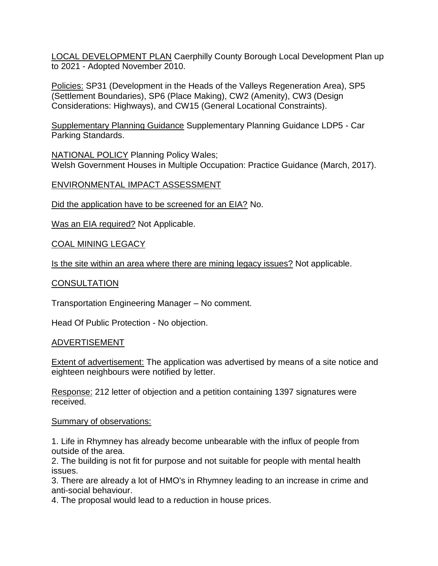LOCAL DEVELOPMENT PLAN Caerphilly County Borough Local Development Plan up to 2021 - Adopted November 2010.

Policies: SP31 (Development in the Heads of the Valleys Regeneration Area), SP5 (Settlement Boundaries), SP6 (Place Making), CW2 (Amenity), CW3 (Design Considerations: Highways), and CW15 (General Locational Constraints).

Supplementary Planning Guidance Supplementary Planning Guidance LDP5 - Car Parking Standards.

NATIONAL POLICY Planning Policy Wales; Welsh Government Houses in Multiple Occupation: Practice Guidance (March, 2017).

# ENVIRONMENTAL IMPACT ASSESSMENT

Did the application have to be screened for an EIA? No.

Was an EIA required? Not Applicable.

## COAL MINING LEGACY

Is the site within an area where there are mining legacy issues? Not applicable.

## **CONSULTATION**

Transportation Engineering Manager – No comment.

Head Of Public Protection - No objection.

## ADVERTISEMENT

Extent of advertisement: The application was advertised by means of a site notice and eighteen neighbours were notified by letter.

Response: 212 letter of objection and a petition containing 1397 signatures were received.

## Summary of observations:

1. Life in Rhymney has already become unbearable with the influx of people from outside of the area.

2. The building is not fit for purpose and not suitable for people with mental health issues.

3. There are already a lot of HMO's in Rhymney leading to an increase in crime and anti-social behaviour.

4. The proposal would lead to a reduction in house prices.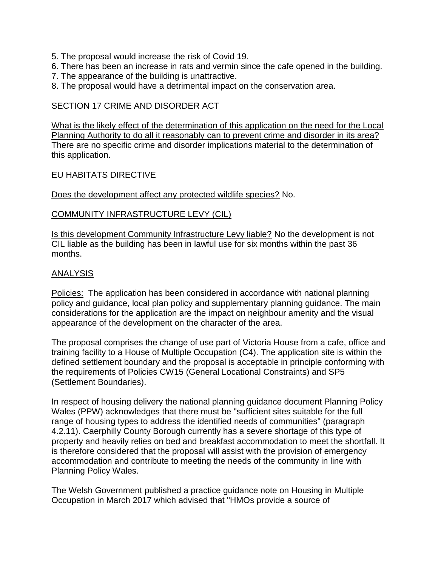- 5. The proposal would increase the risk of Covid 19.
- 6. There has been an increase in rats and vermin since the cafe opened in the building.
- 7. The appearance of the building is unattractive.
- 8. The proposal would have a detrimental impact on the conservation area.

#### SECTION 17 CRIME AND DISORDER ACT

What is the likely effect of the determination of this application on the need for the Local Planning Authority to do all it reasonably can to prevent crime and disorder in its area? There are no specific crime and disorder implications material to the determination of this application.

#### EU HABITATS DIRECTIVE

Does the development affect any protected wildlife species? No.

## COMMUNITY INFRASTRUCTURE LEVY (CIL)

Is this development Community Infrastructure Levy liable? No the development is not CIL liable as the building has been in lawful use for six months within the past 36 months.

#### ANALYSIS

Policies: The application has been considered in accordance with national planning policy and guidance, local plan policy and supplementary planning guidance. The main considerations for the application are the impact on neighbour amenity and the visual appearance of the development on the character of the area.

The proposal comprises the change of use part of Victoria House from a cafe, office and training facility to a House of Multiple Occupation (C4). The application site is within the defined settlement boundary and the proposal is acceptable in principle conforming with the requirements of Policies CW15 (General Locational Constraints) and SP5 (Settlement Boundaries).

In respect of housing delivery the national planning guidance document Planning Policy Wales (PPW) acknowledges that there must be "sufficient sites suitable for the full range of housing types to address the identified needs of communities" (paragraph 4.2.11). Caerphilly County Borough currently has a severe shortage of this type of property and heavily relies on bed and breakfast accommodation to meet the shortfall. It is therefore considered that the proposal will assist with the provision of emergency accommodation and contribute to meeting the needs of the community in line with Planning Policy Wales.

The Welsh Government published a practice guidance note on Housing in Multiple Occupation in March 2017 which advised that "HMOs provide a source of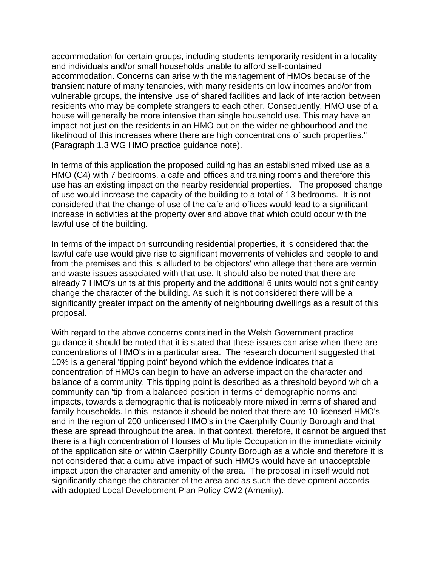accommodation for certain groups, including students temporarily resident in a locality and individuals and/or small households unable to afford self-contained accommodation. Concerns can arise with the management of HMOs because of the transient nature of many tenancies, with many residents on low incomes and/or from vulnerable groups, the intensive use of shared facilities and lack of interaction between residents who may be complete strangers to each other. Consequently, HMO use of a house will generally be more intensive than single household use. This may have an impact not just on the residents in an HMO but on the wider neighbourhood and the likelihood of this increases where there are high concentrations of such properties." (Paragraph 1.3 WG HMO practice guidance note).

In terms of this application the proposed building has an established mixed use as a HMO (C4) with 7 bedrooms, a cafe and offices and training rooms and therefore this use has an existing impact on the nearby residential properties. The proposed change of use would increase the capacity of the building to a total of 13 bedrooms. It is not considered that the change of use of the cafe and offices would lead to a significant increase in activities at the property over and above that which could occur with the lawful use of the building.

In terms of the impact on surrounding residential properties, it is considered that the lawful cafe use would give rise to significant movements of vehicles and people to and from the premises and this is alluded to be objectors' who allege that there are vermin and waste issues associated with that use. It should also be noted that there are already 7 HMO's units at this property and the additional 6 units would not significantly change the character of the building. As such it is not considered there will be a significantly greater impact on the amenity of neighbouring dwellings as a result of this proposal.

With regard to the above concerns contained in the Welsh Government practice guidance it should be noted that it is stated that these issues can arise when there are concentrations of HMO's in a particular area. The research document suggested that 10% is a general 'tipping point' beyond which the evidence indicates that a concentration of HMOs can begin to have an adverse impact on the character and balance of a community. This tipping point is described as a threshold beyond which a community can 'tip' from a balanced position in terms of demographic norms and impacts, towards a demographic that is noticeably more mixed in terms of shared and family households. In this instance it should be noted that there are 10 licensed HMO's and in the region of 200 unlicensed HMO's in the Caerphilly County Borough and that these are spread throughout the area. In that context, therefore, it cannot be argued that there is a high concentration of Houses of Multiple Occupation in the immediate vicinity of the application site or within Caerphilly County Borough as a whole and therefore it is not considered that a cumulative impact of such HMOs would have an unacceptable impact upon the character and amenity of the area. The proposal in itself would not significantly change the character of the area and as such the development accords with adopted Local Development Plan Policy CW2 (Amenity).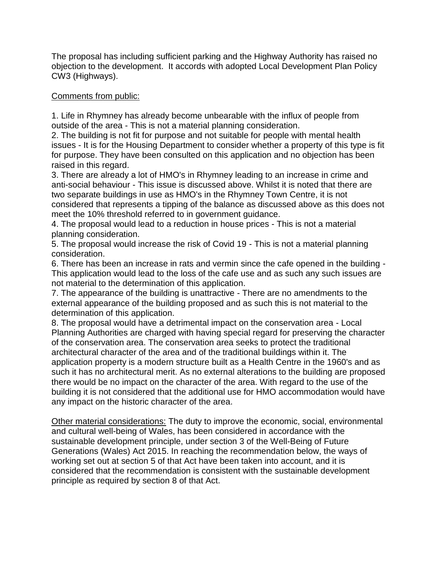The proposal has including sufficient parking and the Highway Authority has raised no objection to the development. It accords with adopted Local Development Plan Policy CW3 (Highways).

# Comments from public:

1. Life in Rhymney has already become unbearable with the influx of people from outside of the area - This is not a material planning consideration.

2. The building is not fit for purpose and not suitable for people with mental health issues - It is for the Housing Department to consider whether a property of this type is fit for purpose. They have been consulted on this application and no objection has been raised in this regard.

3. There are already a lot of HMO's in Rhymney leading to an increase in crime and anti-social behaviour - This issue is discussed above. Whilst it is noted that there are two separate buildings in use as HMO's in the Rhymney Town Centre, it is not considered that represents a tipping of the balance as discussed above as this does not meet the 10% threshold referred to in government guidance.

4. The proposal would lead to a reduction in house prices - This is not a material planning consideration.

5. The proposal would increase the risk of Covid 19 - This is not a material planning consideration.

6. There has been an increase in rats and vermin since the cafe opened in the building - This application would lead to the loss of the cafe use and as such any such issues are not material to the determination of this application.

7. The appearance of the building is unattractive - There are no amendments to the external appearance of the building proposed and as such this is not material to the determination of this application.

8. The proposal would have a detrimental impact on the conservation area - Local Planning Authorities are charged with having special regard for preserving the character of the conservation area. The conservation area seeks to protect the traditional architectural character of the area and of the traditional buildings within it. The application property is a modern structure built as a Health Centre in the 1960's and as such it has no architectural merit. As no external alterations to the building are proposed there would be no impact on the character of the area. With regard to the use of the building it is not considered that the additional use for HMO accommodation would have any impact on the historic character of the area.

Other material considerations: The duty to improve the economic, social, environmental and cultural well-being of Wales, has been considered in accordance with the sustainable development principle, under section 3 of the Well-Being of Future Generations (Wales) Act 2015. In reaching the recommendation below, the ways of working set out at section 5 of that Act have been taken into account, and it is considered that the recommendation is consistent with the sustainable development principle as required by section 8 of that Act.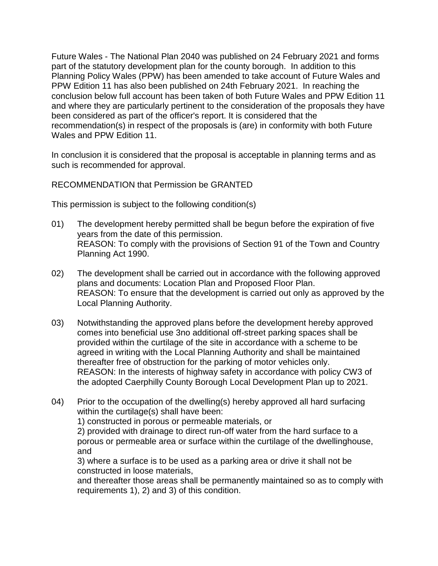Future Wales - The National Plan 2040 was published on 24 February 2021 and forms part of the statutory development plan for the county borough. In addition to this Planning Policy Wales (PPW) has been amended to take account of Future Wales and PPW Edition 11 has also been published on 24th February 2021. In reaching the conclusion below full account has been taken of both Future Wales and PPW Edition 11 and where they are particularly pertinent to the consideration of the proposals they have been considered as part of the officer's report. It is considered that the recommendation(s) in respect of the proposals is (are) in conformity with both Future Wales and PPW Edition 11.

In conclusion it is considered that the proposal is acceptable in planning terms and as such is recommended for approval.

RECOMMENDATION that Permission be GRANTED

This permission is subject to the following condition(s)

- 01) The development hereby permitted shall be begun before the expiration of five years from the date of this permission. REASON: To comply with the provisions of Section 91 of the Town and Country Planning Act 1990.
- 02) The development shall be carried out in accordance with the following approved plans and documents: Location Plan and Proposed Floor Plan. REASON: To ensure that the development is carried out only as approved by the Local Planning Authority.
- 03) Notwithstanding the approved plans before the development hereby approved comes into beneficial use 3no additional off-street parking spaces shall be provided within the curtilage of the site in accordance with a scheme to be agreed in writing with the Local Planning Authority and shall be maintained thereafter free of obstruction for the parking of motor vehicles only. REASON: In the interests of highway safety in accordance with policy CW3 of the adopted Caerphilly County Borough Local Development Plan up to 2021.
- 04) Prior to the occupation of the dwelling(s) hereby approved all hard surfacing within the curtilage(s) shall have been:

1) constructed in porous or permeable materials, or

2) provided with drainage to direct run-off water from the hard surface to a porous or permeable area or surface within the curtilage of the dwellinghouse, and

3) where a surface is to be used as a parking area or drive it shall not be constructed in loose materials,

and thereafter those areas shall be permanently maintained so as to comply with requirements 1), 2) and 3) of this condition.